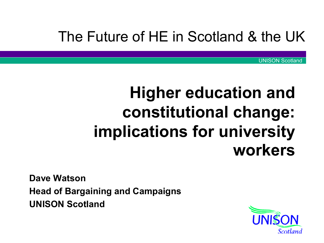#### The Future of HE in Scotland & the UK

UNISON Scotland

## **Higher education and constitutional change: implications for university workers**

**Dave Watson Head of Bargaining and Campaigns UNISON Scotland**

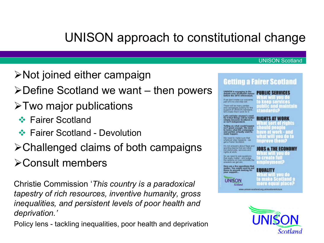#### UNISON approach to constitutional change

- $\triangleright$  Not joined either campaign
- $\triangleright$  Define Scotland we want then powers
- $\triangleright$  Two major publications
	- **❖ Fairer Scotland**
	- **❖ Fairer Scotland Devolution**
- Challenged claims of both campaigns
- Consult members

Christie Commission '*This country is a paradoxical tapestry of rich resources, inventive humanity, gross inequalities, and persistent levels of poor health and deprivation.'*

Policy lens - tackling inequalities, poor health and deprivation



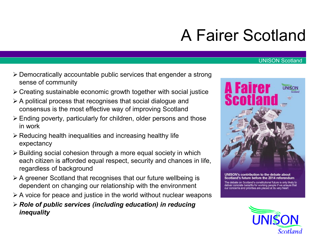# A Fairer Scotland



- Creating sustainable economic growth together with social justice
- $\triangleright$  A political process that recognises that social dialogue and consensus is the most effective way of improving Scotland
- Ending poverty, particularly for children, older persons and those in work
- $\triangleright$  Reducing health inequalities and increasing healthy life expectancy
- $\triangleright$  Building social cohesion through a more equal society in which each citizen is afforded equal respect, security and chances in life, regardless of background
- $\triangleright$  A greener Scotland that recognises that our future wellbeing is dependent on changing our relationship with the environment
- $\triangleright$  A voice for peace and justice in the world without nuclear weapons
- *Role of public services (including education) in reducing inequality*



UNISON's contribution to the debate about Scotland's future before the 2014 referendum

The debate on Scotland's constitutional future is only likely to deliver concrete benefits for working people if we ensure that our concerns and priorities are placed at its very heart

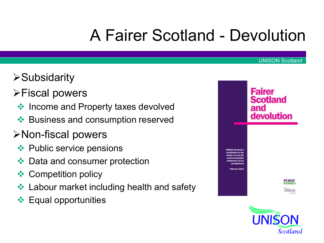# A Fairer Scotland - Devolution

- **≻Subsidarity**
- **≻Fiscal powers** 
	- $\triangleq$  Income and Property taxes devolved
	- **◆ Business and consumption reserved**
- Non-fiscal powers
	- **◆ Public service pensions**
	- **❖** Data and consumer protection
	- **❖ Competition policy**
	- **❖ Labour market including health and safety**
	- **Equal opportunities**



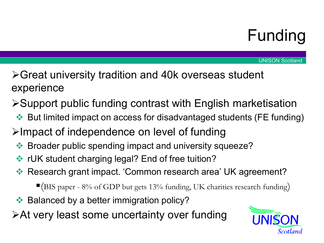## Funding

- Great university tradition and 40k overseas student experience
- Support public funding contrast with English marketisation
	- ◆ But limited impact on access for disadvantaged students (FE funding)
- $\triangleright$ Impact of independence on level of funding
	- **Example 25 Feraudion Spending impact and university squeeze?**
	- $\cdot\cdot\cdot$  rUK student charging legal? End of free tuition?
	- ◆ Research grant impact. 'Common research area' UK agreement?
		- $\blacksquare$ (BIS paper 8% of GDP but gets 13% funding, UK charities research funding)
- **◆ Balanced by a better immigration policy?**
- At very least some uncertainty over funding

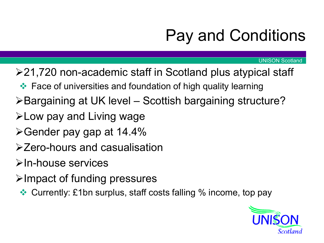# Pay and Conditions

- 21,720 non-academic staff in Scotland plus atypical staff
	- **Eace of universities and foundation of high quality learning**
- Bargaining at UK level Scottish bargaining structure?
- $\blacktriangleright$  Low pay and Living wage
- Gender pay gap at 14.4%
- Zero-hours and casualisation
- $\triangleright$  In-house services
- $\triangleright$ Impact of funding pressures
	- Currently: £1bn surplus, staff costs falling % income, top pay

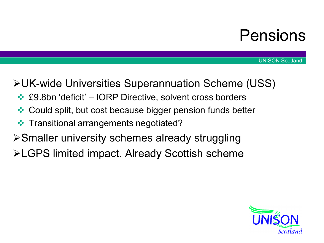### Pensions

UNISON Scotland

#### UK-wide Universities Superannuation Scheme (USS)

- **<del>❖</del> £9.8bn 'deficit' IORP Directive, solvent cross borders**
- ◆ Could split, but cost because bigger pension funds better
- **❖** Transitional arrangements negotiated?
- Smaller university schemes already struggling
- LGPS limited impact. Already Scottish scheme

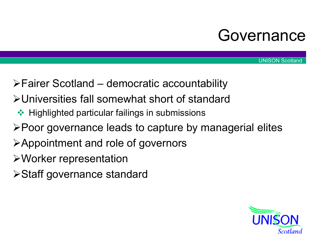### Governance

- Fairer Scotland democratic accountability
- Universities fall somewhat short of standard
- $\leftrightarrow$  Highlighted particular failings in submissions
- Poor governance leads to capture by managerial elites
- Appointment and role of governors
- Worker representation
- Staff governance standard